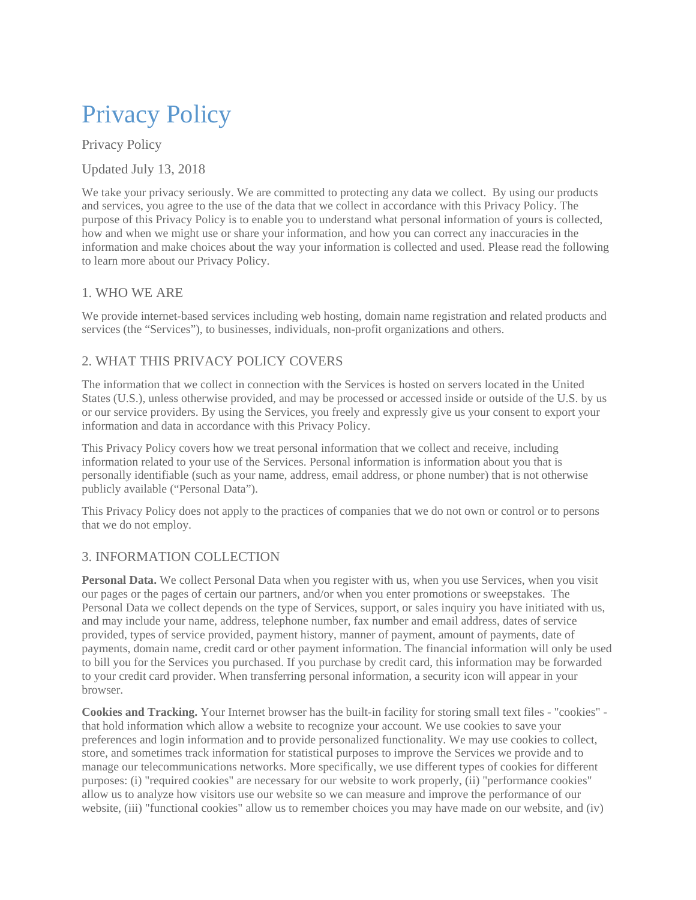# Privacy Policy

Privacy Policy

Updated July 13, 2018

We take your privacy seriously. We are committed to protecting any data we collect. By using our products and services, you agree to the use of the data that we collect in accordance with this Privacy Policy. The purpose of this Privacy Policy is to enable you to understand what personal information of yours is collected, how and when we might use or share your information, and how you can correct any inaccuracies in the information and make choices about the way your information is collected and used. Please read the following to learn more about our Privacy Policy.

#### 1. WHO WE ARE

We provide internet-based services including web hosting, domain name registration and related products and services (the "Services"), to businesses, individuals, non-profit organizations and others.

#### 2. WHAT THIS PRIVACY POLICY COVERS

The information that we collect in connection with the Services is hosted on servers located in the United States (U.S.), unless otherwise provided, and may be processed or accessed inside or outside of the U.S. by us or our service providers. By using the Services, you freely and expressly give us your consent to export your information and data in accordance with this Privacy Policy.

This Privacy Policy covers how we treat personal information that we collect and receive, including information related to your use of the Services. Personal information is information about you that is personally identifiable (such as your name, address, email address, or phone number) that is not otherwise publicly available ("Personal Data").

This Privacy Policy does not apply to the practices of companies that we do not own or control or to persons that we do not employ.

## 3. INFORMATION COLLECTION

**Personal Data.** We collect Personal Data when you register with us, when you use Services, when you visit our pages or the pages of certain our partners, and/or when you enter promotions or sweepstakes. The Personal Data we collect depends on the type of Services, support, or sales inquiry you have initiated with us, and may include your name, address, telephone number, fax number and email address, dates of service provided, types of service provided, payment history, manner of payment, amount of payments, date of payments, domain name, credit card or other payment information. The financial information will only be used to bill you for the Services you purchased. If you purchase by credit card, this information may be forwarded to your credit card provider. When transferring personal information, a security icon will appear in your browser.

**Cookies and Tracking.** Your Internet browser has the built-in facility for storing small text files - "cookies" that hold information which allow a website to recognize your account. We use cookies to save your preferences and login information and to provide personalized functionality. We may use cookies to collect, store, and sometimes track information for statistical purposes to improve the Services we provide and to manage our telecommunications networks. More specifically, we use different types of cookies for different purposes: (i) "required cookies" are necessary for our website to work properly, (ii) "performance cookies" allow us to analyze how visitors use our website so we can measure and improve the performance of our website, (iii) "functional cookies" allow us to remember choices you may have made on our website, and (iv)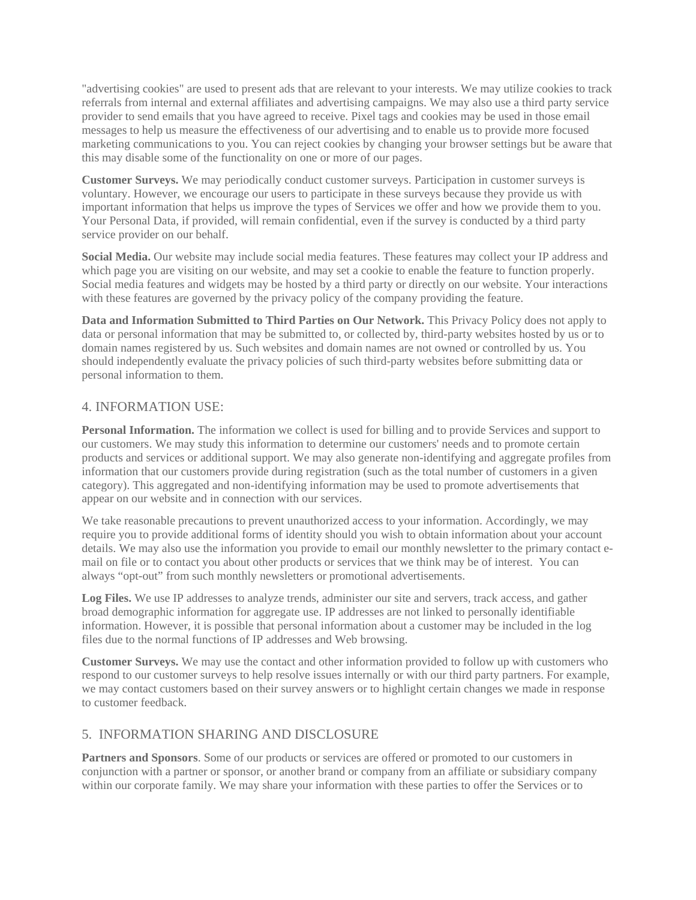"advertising cookies" are used to present ads that are relevant to your interests. We may utilize cookies to track referrals from internal and external affiliates and advertising campaigns. We may also use a third party service provider to send emails that you have agreed to receive. Pixel tags and cookies may be used in those email messages to help us measure the effectiveness of our advertising and to enable us to provide more focused marketing communications to you. You can reject cookies by changing your browser settings but be aware that this may disable some of the functionality on one or more of our pages.

**Customer Surveys.** We may periodically conduct customer surveys. Participation in customer surveys is voluntary. However, we encourage our users to participate in these surveys because they provide us with important information that helps us improve the types of Services we offer and how we provide them to you. Your Personal Data, if provided, will remain confidential, even if the survey is conducted by a third party service provider on our behalf.

**Social Media.** Our website may include social media features. These features may collect your IP address and which page you are visiting on our website, and may set a cookie to enable the feature to function properly. Social media features and widgets may be hosted by a third party or directly on our website. Your interactions with these features are governed by the privacy policy of the company providing the feature.

**Data and Information Submitted to Third Parties on Our Network.** This Privacy Policy does not apply to data or personal information that may be submitted to, or collected by, third-party websites hosted by us or to domain names registered by us. Such websites and domain names are not owned or controlled by us. You should independently evaluate the privacy policies of such third-party websites before submitting data or personal information to them.

#### 4. INFORMATION USE:

**Personal Information.** The information we collect is used for billing and to provide Services and support to our customers. We may study this information to determine our customers' needs and to promote certain products and services or additional support. We may also generate non-identifying and aggregate profiles from information that our customers provide during registration (such as the total number of customers in a given category). This aggregated and non-identifying information may be used to promote advertisements that appear on our website and in connection with our services.

We take reasonable precautions to prevent unauthorized access to your information. Accordingly, we may require you to provide additional forms of identity should you wish to obtain information about your account details. We may also use the information you provide to email our monthly newsletter to the primary contact email on file or to contact you about other products or services that we think may be of interest. You can always "opt-out" from such monthly newsletters or promotional advertisements.

**Log Files.** We use IP addresses to analyze trends, administer our site and servers, track access, and gather broad demographic information for aggregate use. IP addresses are not linked to personally identifiable information. However, it is possible that personal information about a customer may be included in the log files due to the normal functions of IP addresses and Web browsing.

**Customer Surveys.** We may use the contact and other information provided to follow up with customers who respond to our customer surveys to help resolve issues internally or with our third party partners. For example, we may contact customers based on their survey answers or to highlight certain changes we made in response to customer feedback.

#### 5. INFORMATION SHARING AND DISCLOSURE

**Partners and Sponsors**. Some of our products or services are offered or promoted to our customers in conjunction with a partner or sponsor, or another brand or company from an affiliate or subsidiary company within our corporate family. We may share your information with these parties to offer the Services or to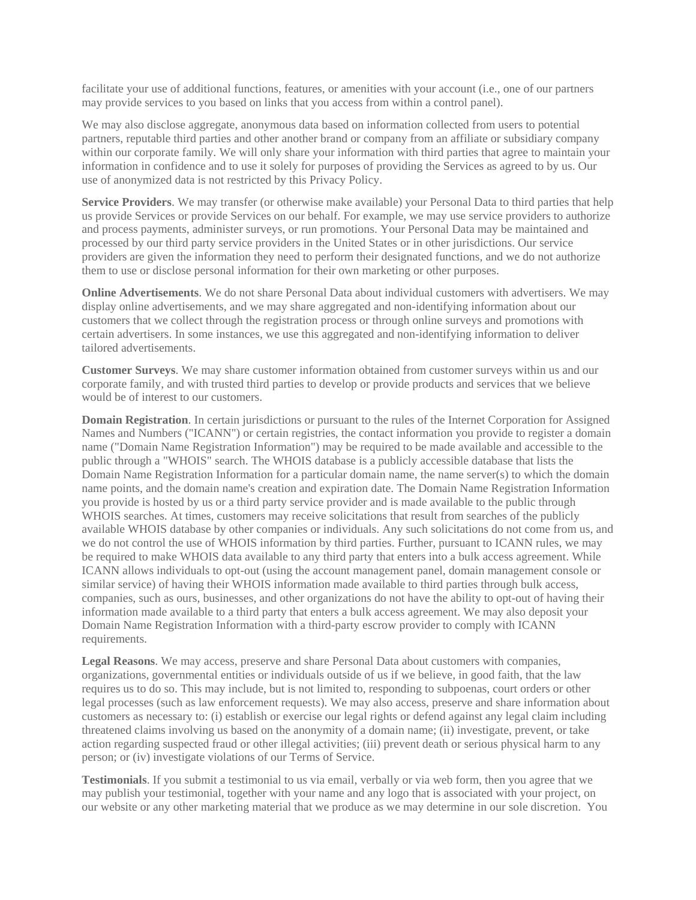facilitate your use of additional functions, features, or amenities with your account (i.e., one of our partners may provide services to you based on links that you access from within a control panel).

We may also disclose aggregate, anonymous data based on information collected from users to potential partners, reputable third parties and other another brand or company from an affiliate or subsidiary company within our corporate family. We will only share your information with third parties that agree to maintain your information in confidence and to use it solely for purposes of providing the Services as agreed to by us. Our use of anonymized data is not restricted by this Privacy Policy.

**Service Providers**. We may transfer (or otherwise make available) your Personal Data to third parties that help us provide Services or provide Services on our behalf. For example, we may use service providers to authorize and process payments, administer surveys, or run promotions. Your Personal Data may be maintained and processed by our third party service providers in the United States or in other jurisdictions. Our service providers are given the information they need to perform their designated functions, and we do not authorize them to use or disclose personal information for their own marketing or other purposes.

**Online Advertisements**. We do not share Personal Data about individual customers with advertisers. We may display online advertisements, and we may share aggregated and non-identifying information about our customers that we collect through the registration process or through online surveys and promotions with certain advertisers. In some instances, we use this aggregated and non-identifying information to deliver tailored advertisements.

**Customer Surveys**. We may share customer information obtained from customer surveys within us and our corporate family, and with trusted third parties to develop or provide products and services that we believe would be of interest to our customers.

**Domain Registration.** In certain jurisdictions or pursuant to the rules of the Internet Corporation for Assigned Names and Numbers ("ICANN") or certain registries, the contact information you provide to register a domain name ("Domain Name Registration Information") may be required to be made available and accessible to the public through a "WHOIS" search. The WHOIS database is a publicly accessible database that lists the Domain Name Registration Information for a particular domain name, the name server(s) to which the domain name points, and the domain name's creation and expiration date. The Domain Name Registration Information you provide is hosted by us or a third party service provider and is made available to the public through WHOIS searches. At times, customers may receive solicitations that result from searches of the publicly available WHOIS database by other companies or individuals. Any such solicitations do not come from us, and we do not control the use of WHOIS information by third parties. Further, pursuant to ICANN rules, we may be required to make WHOIS data available to any third party that enters into a bulk access agreement. While ICANN allows individuals to opt-out (using the account management panel, domain management console or similar service) of having their WHOIS information made available to third parties through bulk access, companies, such as ours, businesses, and other organizations do not have the ability to opt-out of having their information made available to a third party that enters a bulk access agreement. We may also deposit your Domain Name Registration Information with a third-party escrow provider to comply with ICANN requirements.

**Legal Reasons**. We may access, preserve and share Personal Data about customers with companies, organizations, governmental entities or individuals outside of us if we believe, in good faith, that the law requires us to do so. This may include, but is not limited to, responding to subpoenas, court orders or other legal processes (such as law enforcement requests). We may also access, preserve and share information about customers as necessary to: (i) establish or exercise our legal rights or defend against any legal claim including threatened claims involving us based on the anonymity of a domain name; (ii) investigate, prevent, or take action regarding suspected fraud or other illegal activities; (iii) prevent death or serious physical harm to any person; or (iv) investigate violations of our Terms of Service.

**Testimonials**. If you submit a testimonial to us via email, verbally or via web form, then you agree that we may publish your testimonial, together with your name and any logo that is associated with your project, on our website or any other marketing material that we produce as we may determine in our sole discretion. You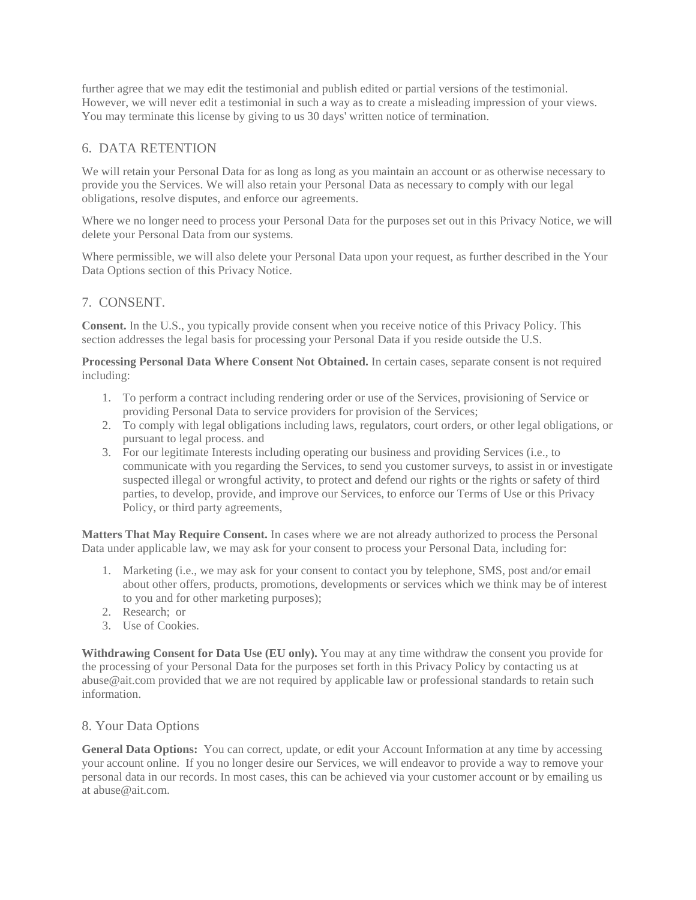further agree that we may edit the testimonial and publish edited or partial versions of the testimonial. However, we will never edit a testimonial in such a way as to create a misleading impression of your views. You may terminate this license by giving to us 30 days' written notice of termination.

### 6. DATA RETENTION

We will retain your Personal Data for as long as long as you maintain an account or as otherwise necessary to provide you the Services. We will also retain your Personal Data as necessary to comply with our legal obligations, resolve disputes, and enforce our agreements.

Where we no longer need to process your Personal Data for the purposes set out in this Privacy Notice, we will delete your Personal Data from our systems.

Where permissible, we will also delete your Personal Data upon your request, as further described in the Your Data Options section of this Privacy Notice.

#### 7. CONSENT.

**Consent.** In the U.S., you typically provide consent when you receive notice of this Privacy Policy. This section addresses the legal basis for processing your Personal Data if you reside outside the U.S.

**Processing Personal Data Where Consent Not Obtained.** In certain cases, separate consent is not required including:

- 1. To perform a contract including rendering order or use of the Services, provisioning of Service or providing Personal Data to service providers for provision of the Services;
- 2. To comply with legal obligations including laws, regulators, court orders, or other legal obligations, or pursuant to legal process. and
- 3. For our legitimate Interests including operating our business and providing Services (i.e., to communicate with you regarding the Services, to send you customer surveys, to assist in or investigate suspected illegal or wrongful activity, to protect and defend our rights or the rights or safety of third parties, to develop, provide, and improve our Services, to enforce our Terms of Use or this Privacy Policy, or third party agreements,

**Matters That May Require Consent.** In cases where we are not already authorized to process the Personal Data under applicable law, we may ask for your consent to process your Personal Data, including for:

- 1. Marketing (i.e., we may ask for your consent to contact you by telephone, SMS, post and/or email about other offers, products, promotions, developments or services which we think may be of interest to you and for other marketing purposes);
- 2. Research; or
- 3. Use of Cookies.

**Withdrawing Consent for Data Use (EU only).** You may at any time withdraw the consent you provide for the processing of your Personal Data for the purposes set forth in this Privacy Policy by contacting us at abuse@ait.com provided that we are not required by applicable law or professional standards to retain such information.

#### 8. Your Data Options

**General Data Options:** You can correct, update, or edit your Account Information at any time by accessing your account online. If you no longer desire our Services, we will endeavor to provide a way to remove your personal data in our records. In most cases, this can be achieved via your customer account or by emailing us at abuse@ait.com.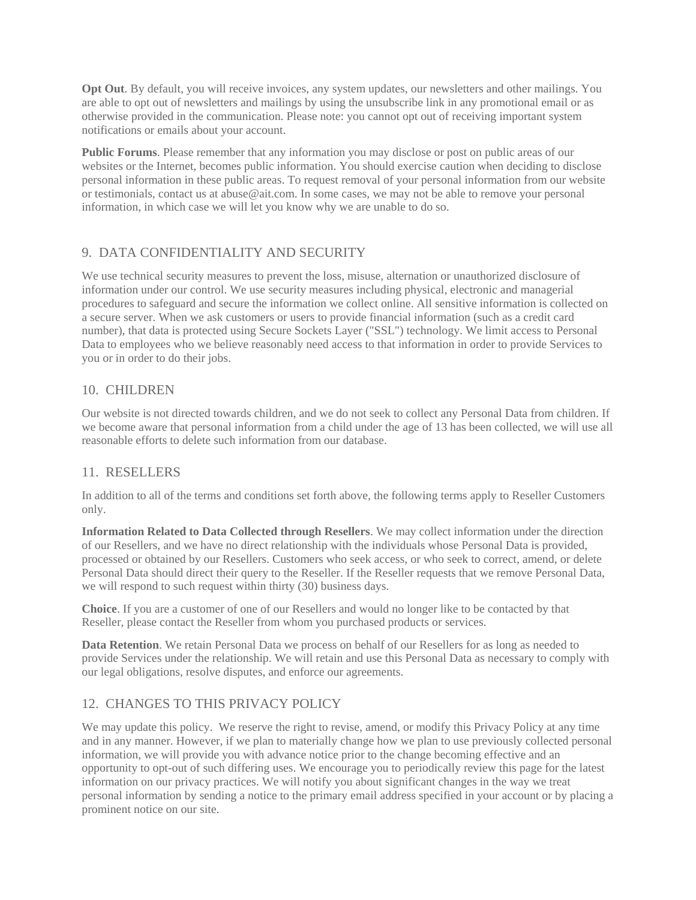**Opt Out**. By default, you will receive invoices, any system updates, our newsletters and other mailings. You are able to opt out of newsletters and mailings by using the unsubscribe link in any promotional email or as otherwise provided in the communication. Please note: you cannot opt out of receiving important system notifications or emails about your account.

**Public Forums**. Please remember that any information you may disclose or post on public areas of our websites or the Internet, becomes public information. You should exercise caution when deciding to disclose personal information in these public areas. To request removal of your personal information from our website or testimonials, contact us at abuse@ait.com. In some cases, we may not be able to remove your personal information, in which case we will let you know why we are unable to do so.

## 9. DATA CONFIDENTIALITY AND SECURITY

We use technical security measures to prevent the loss, misuse, alternation or unauthorized disclosure of information under our control. We use security measures including physical, electronic and managerial procedures to safeguard and secure the information we collect online. All sensitive information is collected on a secure server. When we ask customers or users to provide financial information (such as a credit card number), that data is protected using Secure Sockets Layer ("SSL") technology. We limit access to Personal Data to employees who we believe reasonably need access to that information in order to provide Services to you or in order to do their jobs.

#### 10. CHILDREN

Our website is not directed towards children, and we do not seek to collect any Personal Data from children. If we become aware that personal information from a child under the age of 13 has been collected, we will use all reasonable efforts to delete such information from our database.

#### 11. RESELLERS

In addition to all of the terms and conditions set forth above, the following terms apply to Reseller Customers only.

**Information Related to Data Collected through Resellers**. We may collect information under the direction of our Resellers, and we have no direct relationship with the individuals whose Personal Data is provided, processed or obtained by our Resellers. Customers who seek access, or who seek to correct, amend, or delete Personal Data should direct their query to the Reseller. If the Reseller requests that we remove Personal Data, we will respond to such request within thirty (30) business days.

**Choice**. If you are a customer of one of our Resellers and would no longer like to be contacted by that Reseller, please contact the Reseller from whom you purchased products or services.

**Data Retention**. We retain Personal Data we process on behalf of our Resellers for as long as needed to provide Services under the relationship. We will retain and use this Personal Data as necessary to comply with our legal obligations, resolve disputes, and enforce our agreements.

## 12. CHANGES TO THIS PRIVACY POLICY

We may update this policy. We reserve the right to revise, amend, or modify this Privacy Policy at any time and in any manner. However, if we plan to materially change how we plan to use previously collected personal information, we will provide you with advance notice prior to the change becoming effective and an opportunity to opt-out of such differing uses. We encourage you to periodically review this page for the latest information on our privacy practices. We will notify you about significant changes in the way we treat personal information by sending a notice to the primary email address specified in your account or by placing a prominent notice on our site.